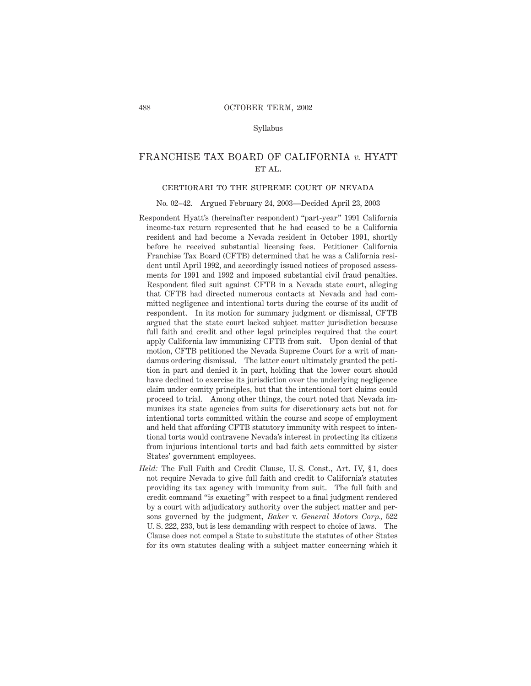Syllabus

## FRANCHISE TAX BOARD OF CALIFORNIA *v.* HYATT ET AL.

## certiorari to the supreme court of nevada

No. 02–42. Argued February 24, 2003—Decided April 23, 2003

- Respondent Hyatt's (hereinafter respondent) "part-year" 1991 California income-tax return represented that he had ceased to be a California resident and had become a Nevada resident in October 1991, shortly before he received substantial licensing fees. Petitioner California Franchise Tax Board (CFTB) determined that he was a California resident until April 1992, and accordingly issued notices of proposed assessments for 1991 and 1992 and imposed substantial civil fraud penalties. Respondent filed suit against CFTB in a Nevada state court, alleging that CFTB had directed numerous contacts at Nevada and had committed negligence and intentional torts during the course of its audit of respondent. In its motion for summary judgment or dismissal, CFTB argued that the state court lacked subject matter jurisdiction because full faith and credit and other legal principles required that the court apply California law immunizing CFTB from suit. Upon denial of that motion, CFTB petitioned the Nevada Supreme Court for a writ of mandamus ordering dismissal. The latter court ultimately granted the petition in part and denied it in part, holding that the lower court should have declined to exercise its jurisdiction over the underlying negligence claim under comity principles, but that the intentional tort claims could proceed to trial. Among other things, the court noted that Nevada immunizes its state agencies from suits for discretionary acts but not for intentional torts committed within the course and scope of employment and held that affording CFTB statutory immunity with respect to intentional torts would contravene Nevada's interest in protecting its citizens from injurious intentional torts and bad faith acts committed by sister States' government employees.
- *Held:* The Full Faith and Credit Clause, U. S. Const., Art. IV, § 1, does not require Nevada to give full faith and credit to California's statutes providing its tax agency with immunity from suit. The full faith and credit command "is exacting" with respect to a final judgment rendered by a court with adjudicatory authority over the subject matter and persons governed by the judgment, *Baker* v. *General Motors Corp.,* 522 U. S. 222, 233, but is less demanding with respect to choice of laws. The Clause does not compel a State to substitute the statutes of other States for its own statutes dealing with a subject matter concerning which it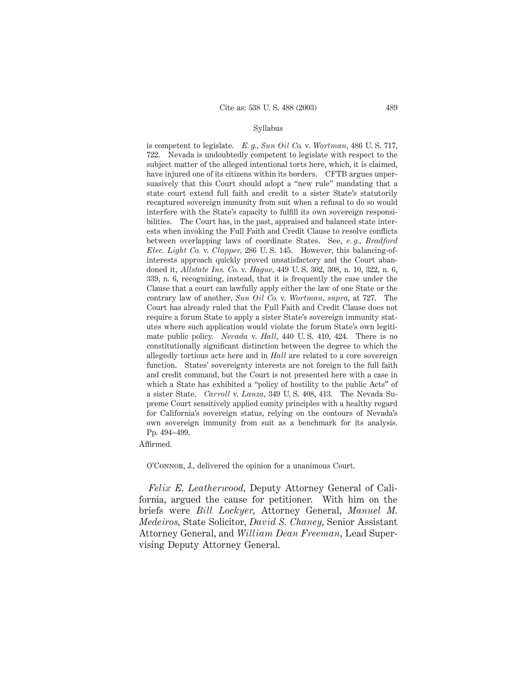#### Syllabus

is competent to legislate. *E. g., Sun Oil Co.* v. *Wortman,* 486 U. S. 717, 722. Nevada is undoubtedly competent to legislate with respect to the subject matter of the alleged intentional torts here, which, it is claimed, have injured one of its citizens within its borders. CFTB argues unpersuasively that this Court should adopt a "new rule" mandating that a state court extend full faith and credit to a sister State's statutorily recaptured sovereign immunity from suit when a refusal to do so would interfere with the State's capacity to fulfill its own sovereign responsibilities. The Court has, in the past, appraised and balanced state interests when invoking the Full Faith and Credit Clause to resolve conflicts between overlapping laws of coordinate States. See, *e. g., Bradford Elec. Light Co.* v. *Clapper,* 286 U. S. 145. However, this balancing-ofinterests approach quickly proved unsatisfactory and the Court abandoned it, *Allstate Ins. Co.* v. *Hague,* 449 U. S. 302, 308, n. 10, 322, n. 6, 339, n. 6, recognizing, instead, that it is frequently the case under the Clause that a court can lawfully apply either the law of one State or the contrary law of another, *Sun Oil Co.* v. *Wortman, supra,* at 727. The Court has already ruled that the Full Faith and Credit Clause does not require a forum State to apply a sister State's sovereign immunity statutes where such application would violate the forum State's own legitimate public policy. *Nevada* v. *Hall,* 440 U. S. 410, 424. There is no constitutionally significant distinction between the degree to which the allegedly tortious acts here and in *Hall* are related to a core sovereign function. States' sovereignty interests are not foreign to the full faith and credit command, but the Court is not presented here with a case in which a State has exhibited a "policy of hostility to the public Acts" of a sister State. *Carroll* v. *Lanza,* 349 U. S. 408, 413. The Nevada Supreme Court sensitively applied comity principles with a healthy regard for California's sovereign status, relying on the contours of Nevada's own sovereign immunity from suit as a benchmark for its analysis. Pp. 494–499.

Affirmed.

O'Connor, J., delivered the opinion for a unanimous Court.

*Felix E. Leatherwood,* Deputy Attorney General of California, argued the cause for petitioner. With him on the briefs were *Bill Lockyer,* Attorney General, *Manuel M. Medeiros,* State Solicitor, *David S. Chaney,* Senior Assistant Attorney General, and *William Dean Freeman,* Lead Supervising Deputy Attorney General.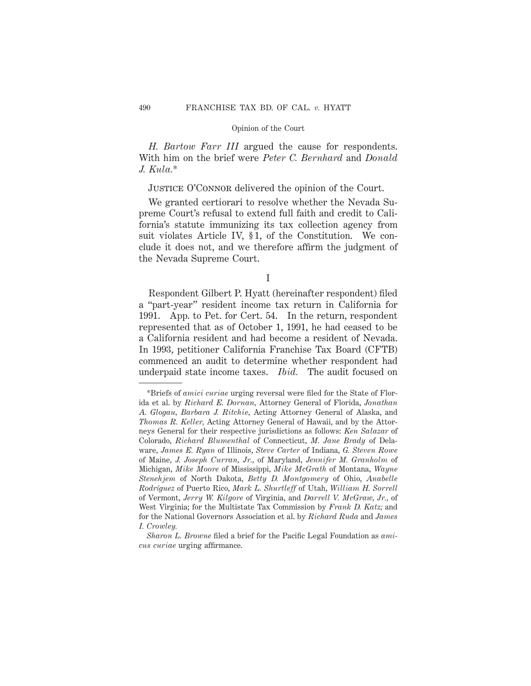*H. Bartow Farr III* argued the cause for respondents. With him on the brief were *Peter C. Bernhard* and *Donald J. Kula.*\*

# JUSTICE O'CONNOR delivered the opinion of the Court.

We granted certiorari to resolve whether the Nevada Supreme Court's refusal to extend full faith and credit to California's statute immunizing its tax collection agency from suit violates Article IV, § 1, of the Constitution. We conclude it does not, and we therefore affirm the judgment of the Nevada Supreme Court.

Respondent Gilbert P. Hyatt (hereinafter respondent) filed a "part-year" resident income tax return in California for 1991. App. to Pet. for Cert. 54. In the return, respondent represented that as of October 1, 1991, he had ceased to be a California resident and had become a resident of Nevada. In 1993, petitioner California Franchise Tax Board (CFTB) commenced an audit to determine whether respondent had underpaid state income taxes. *Ibid.* The audit focused on

I

<sup>\*</sup>Briefs of *amici curiae* urging reversal were filed for the State of Florida et al. by *Richard E. Dornan,* Attorney General of Florida, *Jonathan A. Glogau, Barbara J. Ritchie,* Acting Attorney General of Alaska, and *Thomas R. Keller,* Acting Attorney General of Hawaii, and by the Attorneys General for their respective jurisdictions as follows: *Ken Salazar* of Colorado, *Richard Blumenthal* of Connecticut, *M. Jane Brady* of Delaware, *James E. Ryan* of Illinois, *Steve Carter* of Indiana, *G. Steven Rowe* of Maine, *J. Joseph Curran, Jr.,* of Maryland, *Jennifer M. Granholm* of Michigan, *Mike Moore* of Mississippi, *Mike McGrath* of Montana, *Wayne Stenehjem* of North Dakota, *Betty D. Montgomery* of Ohio, *Anabelle Rodrı´guez* of Puerto Rico, *Mark L. Shurtleff* of Utah, *William H. Sorrell* of Vermont, *Jerry W. Kilgore* of Virginia, and *Darrell V. McGraw, Jr.,* of West Virginia; for the Multistate Tax Commission by *Frank D. Katz;* and for the National Governors Association et al. by *Richard Ruda* and *James I. Crowley.*

*Sharon L. Browne* filed a brief for the Pacific Legal Foundation as *amicus curiae* urging affirmance.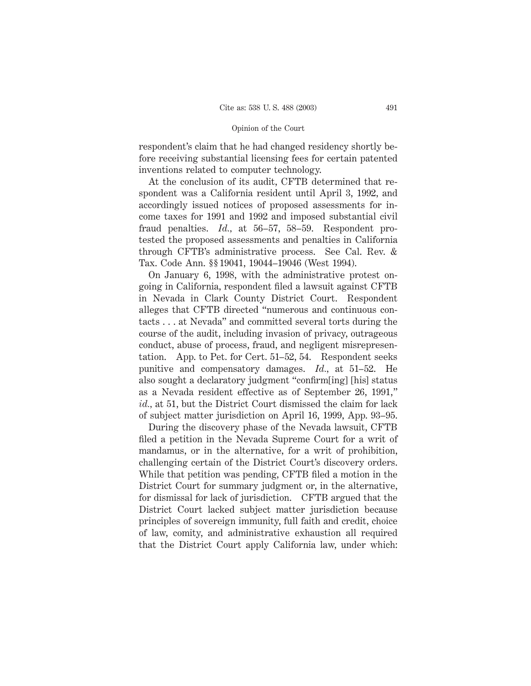respondent's claim that he had changed residency shortly before receiving substantial licensing fees for certain patented inventions related to computer technology.

At the conclusion of its audit, CFTB determined that respondent was a California resident until April 3, 1992, and accordingly issued notices of proposed assessments for income taxes for 1991 and 1992 and imposed substantial civil fraud penalties. *Id.,* at 56–57, 58–59. Respondent protested the proposed assessments and penalties in California through CFTB's administrative process. See Cal. Rev. & Tax. Code Ann. §§ 19041, 19044–19046 (West 1994).

On January 6, 1998, with the administrative protest ongoing in California, respondent filed a lawsuit against CFTB in Nevada in Clark County District Court. Respondent alleges that CFTB directed "numerous and continuous contacts . . . at Nevada" and committed several torts during the course of the audit, including invasion of privacy, outrageous conduct, abuse of process, fraud, and negligent misrepresentation. App. to Pet. for Cert. 51–52, 54. Respondent seeks punitive and compensatory damages. *Id.,* at 51–52. He also sought a declaratory judgment "confirm[ing] [his] status as a Nevada resident effective as of September 26, 1991," *id.,* at 51, but the District Court dismissed the claim for lack of subject matter jurisdiction on April 16, 1999, App. 93–95.

During the discovery phase of the Nevada lawsuit, CFTB filed a petition in the Nevada Supreme Court for a writ of mandamus, or in the alternative, for a writ of prohibition, challenging certain of the District Court's discovery orders. While that petition was pending, CFTB filed a motion in the District Court for summary judgment or, in the alternative, for dismissal for lack of jurisdiction. CFTB argued that the District Court lacked subject matter jurisdiction because principles of sovereign immunity, full faith and credit, choice of law, comity, and administrative exhaustion all required that the District Court apply California law, under which: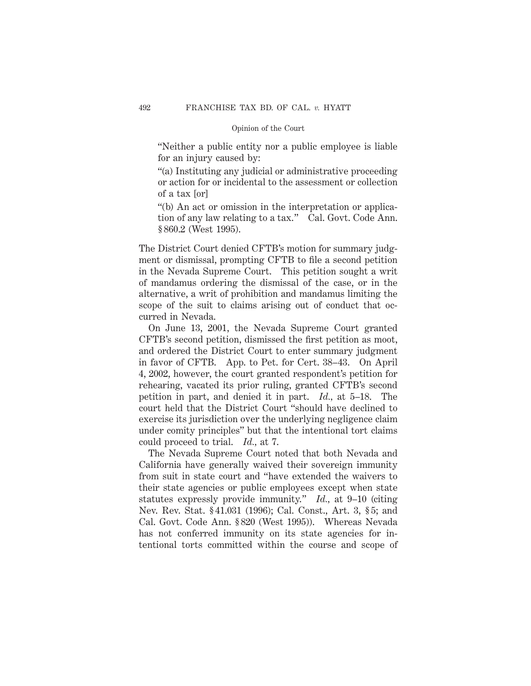"Neither a public entity nor a public employee is liable for an injury caused by:

"(a) Instituting any judicial or administrative proceeding or action for or incidental to the assessment or collection of a tax [or]

"(b) An act or omission in the interpretation or application of any law relating to a tax." Cal. Govt. Code Ann. § 860.2 (West 1995).

The District Court denied CFTB's motion for summary judgment or dismissal, prompting CFTB to file a second petition in the Nevada Supreme Court. This petition sought a writ of mandamus ordering the dismissal of the case, or in the alternative, a writ of prohibition and mandamus limiting the scope of the suit to claims arising out of conduct that occurred in Nevada.

On June 13, 2001, the Nevada Supreme Court granted CFTB's second petition, dismissed the first petition as moot, and ordered the District Court to enter summary judgment in favor of CFTB. App. to Pet. for Cert. 38–43. On April 4, 2002, however, the court granted respondent's petition for rehearing, vacated its prior ruling, granted CFTB's second petition in part, and denied it in part. *Id.,* at 5–18. The court held that the District Court "should have declined to exercise its jurisdiction over the underlying negligence claim under comity principles" but that the intentional tort claims could proceed to trial. *Id.,* at 7.

The Nevada Supreme Court noted that both Nevada and California have generally waived their sovereign immunity from suit in state court and "have extended the waivers to their state agencies or public employees except when state statutes expressly provide immunity." *Id.,* at 9–10 (citing Nev. Rev. Stat. § 41.031 (1996); Cal. Const., Art. 3, § 5; and Cal. Govt. Code Ann. § 820 (West 1995)). Whereas Nevada has not conferred immunity on its state agencies for intentional torts committed within the course and scope of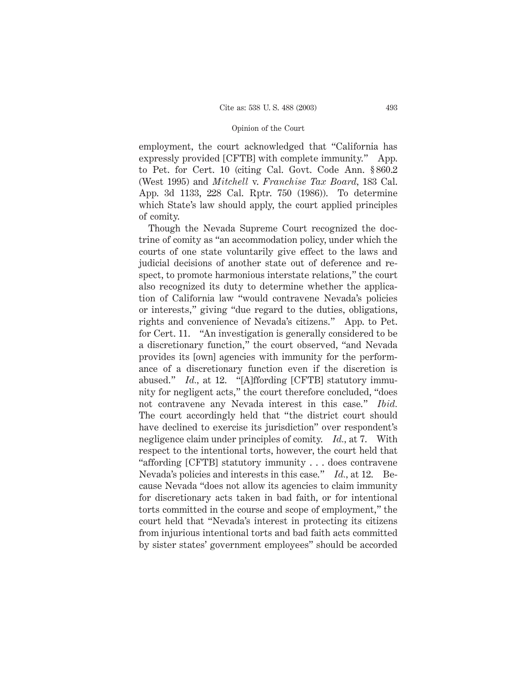employment, the court acknowledged that "California has expressly provided [CFTB] with complete immunity." App. to Pet. for Cert. 10 (citing Cal. Govt. Code Ann. § 860.2 (West 1995) and *Mitchell* v. *Franchise Tax Board,* 183 Cal. App. 3d 1133, 228 Cal. Rptr. 750 (1986)). To determine which State's law should apply, the court applied principles of comity.

Though the Nevada Supreme Court recognized the doctrine of comity as "an accommodation policy, under which the courts of one state voluntarily give effect to the laws and judicial decisions of another state out of deference and respect, to promote harmonious interstate relations," the court also recognized its duty to determine whether the application of California law "would contravene Nevada's policies or interests," giving "due regard to the duties, obligations, rights and convenience of Nevada's citizens." App. to Pet. for Cert. 11. "An investigation is generally considered to be a discretionary function," the court observed, "and Nevada provides its [own] agencies with immunity for the performance of a discretionary function even if the discretion is abused." *Id.,* at 12. "[A]ffording [CFTB] statutory immunity for negligent acts," the court therefore concluded, "does not contravene any Nevada interest in this case." *Ibid.* The court accordingly held that "the district court should have declined to exercise its jurisdiction" over respondent's negligence claim under principles of comity. *Id.,* at 7. With respect to the intentional torts, however, the court held that "affording [CFTB] statutory immunity . . . does contravene Nevada's policies and interests in this case." *Id.,* at 12. Because Nevada "does not allow its agencies to claim immunity for discretionary acts taken in bad faith, or for intentional torts committed in the course and scope of employment," the court held that "Nevada's interest in protecting its citizens from injurious intentional torts and bad faith acts committed by sister states' government employees" should be accorded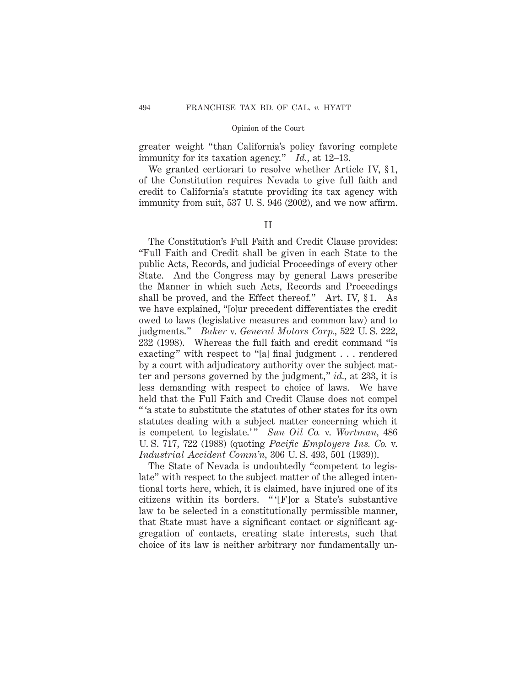greater weight "than California's policy favoring complete immunity for its taxation agency." *Id.,* at 12–13.

We granted certiorari to resolve whether Article IV, § 1, of the Constitution requires Nevada to give full faith and credit to California's statute providing its tax agency with immunity from suit, 537 U. S. 946 (2002), and we now affirm.

## II

The Constitution's Full Faith and Credit Clause provides: "Full Faith and Credit shall be given in each State to the public Acts, Records, and judicial Proceedings of every other State. And the Congress may by general Laws prescribe the Manner in which such Acts, Records and Proceedings shall be proved, and the Effect thereof." Art. IV, § 1. As we have explained, "[o]ur precedent differentiates the credit owed to laws (legislative measures and common law) and to judgments." *Baker* v. *General Motors Corp.,* 522 U. S. 222, 232 (1998). Whereas the full faith and credit command "is exacting" with respect to "[a] final judgment . . . rendered by a court with adjudicatory authority over the subject matter and persons governed by the judgment," *id.,* at 233, it is less demanding with respect to choice of laws. We have held that the Full Faith and Credit Clause does not compel " 'a state to substitute the statutes of other states for its own statutes dealing with a subject matter concerning which it is competent to legislate.'" *Sun Oil Co.* v. *Wortman*, 486 U. S. 717, 722 (1988) (quoting *Pacific Employers Ins. Co.* v. *Industrial Accident Comm'n,* 306 U. S. 493, 501 (1939)).

The State of Nevada is undoubtedly "competent to legislate" with respect to the subject matter of the alleged intentional torts here, which, it is claimed, have injured one of its citizens within its borders. " '[F]or a State's substantive law to be selected in a constitutionally permissible manner, that State must have a significant contact or significant aggregation of contacts, creating state interests, such that choice of its law is neither arbitrary nor fundamentally un-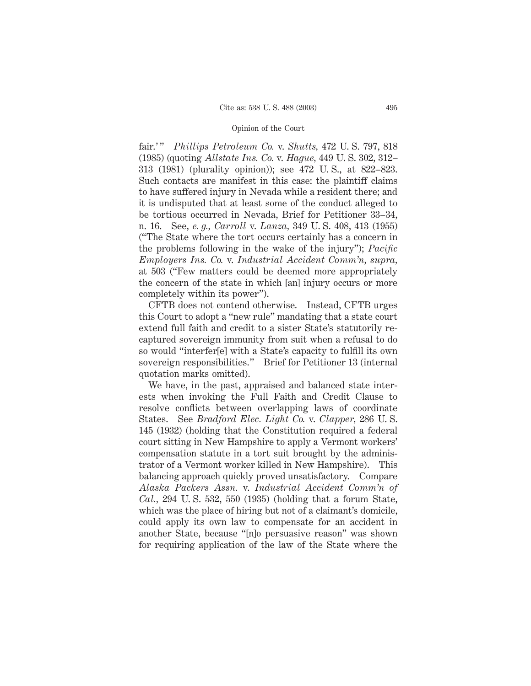fair.' " *Phillips Petroleum Co.* v. *Shutts,* 472 U. S. 797, 818 (1985) (quoting *Allstate Ins. Co.* v. *Hague,* 449 U. S. 302, 312– 313 (1981) (plurality opinion)); see 472 U. S., at 822–823. Such contacts are manifest in this case: the plaintiff claims to have suffered injury in Nevada while a resident there; and it is undisputed that at least some of the conduct alleged to be tortious occurred in Nevada, Brief for Petitioner 33–34, n. 16. See, *e. g., Carroll* v. *Lanza,* 349 U. S. 408, 413 (1955) ("The State where the tort occurs certainly has a concern in the problems following in the wake of the injury"); *Pacific Employers Ins. Co.* v. *Industrial Accident Comm'n, supra,* at 503 ("Few matters could be deemed more appropriately the concern of the state in which [an] injury occurs or more completely within its power").

CFTB does not contend otherwise. Instead, CFTB urges this Court to adopt a "new rule" mandating that a state court extend full faith and credit to a sister State's statutorily recaptured sovereign immunity from suit when a refusal to do so would "interfer[e] with a State's capacity to fulfill its own sovereign responsibilities." Brief for Petitioner 13 (internal quotation marks omitted).

We have, in the past, appraised and balanced state interests when invoking the Full Faith and Credit Clause to resolve conflicts between overlapping laws of coordinate States. See *Bradford Elec. Light Co.* v. *Clapper,* 286 U. S. 145 (1932) (holding that the Constitution required a federal court sitting in New Hampshire to apply a Vermont workers' compensation statute in a tort suit brought by the administrator of a Vermont worker killed in New Hampshire). This balancing approach quickly proved unsatisfactory. Compare *Alaska Packers Assn.* v. *Industrial Accident Comm'n of Cal.,* 294 U. S. 532, 550 (1935) (holding that a forum State, which was the place of hiring but not of a claimant's domicile, could apply its own law to compensate for an accident in another State, because "[n]o persuasive reason" was shown for requiring application of the law of the State where the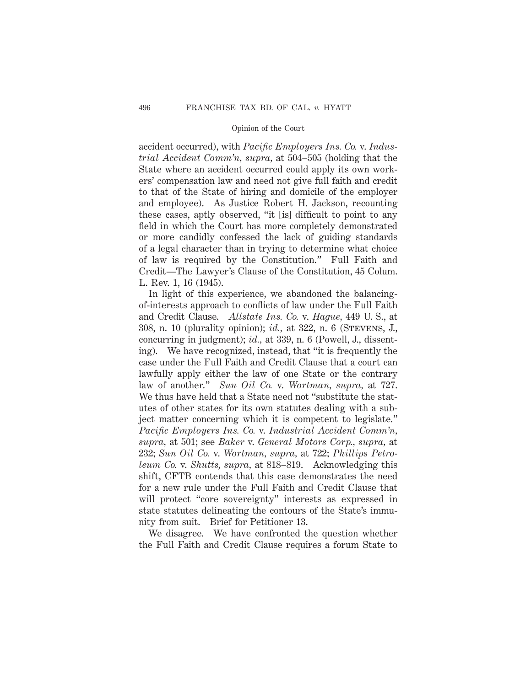accident occurred), with *Pacific Employers Ins. Co.* v. *Industrial Accident Comm'n, supra,* at 504–505 (holding that the State where an accident occurred could apply its own workers' compensation law and need not give full faith and credit to that of the State of hiring and domicile of the employer and employee). As Justice Robert H. Jackson, recounting these cases, aptly observed, "it [is] difficult to point to any field in which the Court has more completely demonstrated or more candidly confessed the lack of guiding standards of a legal character than in trying to determine what choice of law is required by the Constitution." Full Faith and Credit—The Lawyer's Clause of the Constitution, 45 Colum. L. Rev. 1, 16 (1945).

In light of this experience, we abandoned the balancingof-interests approach to conflicts of law under the Full Faith and Credit Clause. *Allstate Ins. Co.* v. *Hague,* 449 U. S., at 308, n. 10 (plurality opinion); *id.,* at 322, n. 6 (Stevens, J., concurring in judgment); *id.,* at 339, n. 6 (Powell, J., dissenting). We have recognized, instead, that "it is frequently the case under the Full Faith and Credit Clause that a court can lawfully apply either the law of one State or the contrary law of another." *Sun Oil Co.* v. *Wortman, supra,* at 727. We thus have held that a State need not "substitute the statutes of other states for its own statutes dealing with a subject matter concerning which it is competent to legislate." *Pacific Employers Ins. Co.* v. *Industrial Accident Comm'n, supra,* at 501; see *Baker* v. *General Motors Corp., supra,* at 232; *Sun Oil Co.* v. *Wortman, supra,* at 722; *Phillips Petroleum Co.* v. *Shutts, supra,* at 818–819. Acknowledging this shift, CFTB contends that this case demonstrates the need for a new rule under the Full Faith and Credit Clause that will protect "core sovereignty" interests as expressed in state statutes delineating the contours of the State's immunity from suit. Brief for Petitioner 13.

We disagree. We have confronted the question whether the Full Faith and Credit Clause requires a forum State to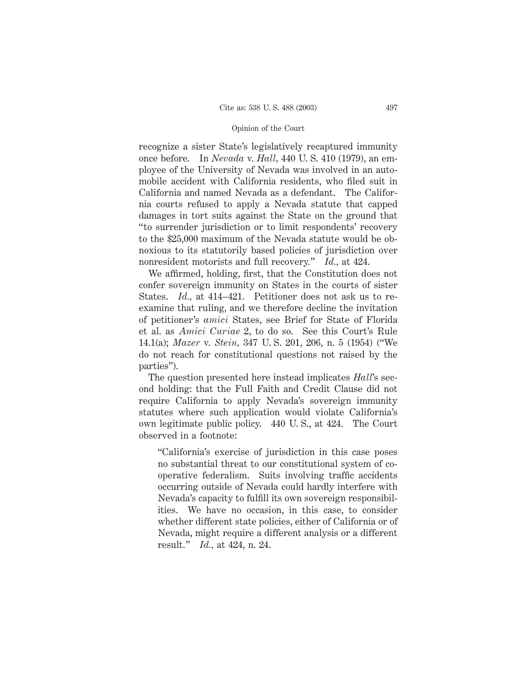recognize a sister State's legislatively recaptured immunity once before. In *Nevada* v. *Hall,* 440 U. S. 410 (1979), an employee of the University of Nevada was involved in an automobile accident with California residents, who filed suit in California and named Nevada as a defendant. The California courts refused to apply a Nevada statute that capped damages in tort suits against the State on the ground that "to surrender jurisdiction or to limit respondents' recovery to the \$25,000 maximum of the Nevada statute would be obnoxious to its statutorily based policies of jurisdiction over nonresident motorists and full recovery." *Id.,* at 424.

We affirmed, holding, first, that the Constitution does not confer sovereign immunity on States in the courts of sister States. *Id.,* at 414–421. Petitioner does not ask us to reexamine that ruling, and we therefore decline the invitation of petitioner's *amici* States, see Brief for State of Florida et al. as *Amici Curiae* 2, to do so. See this Court's Rule 14.1(a); *Mazer* v. *Stein,* 347 U. S. 201, 206, n. 5 (1954) ("We do not reach for constitutional questions not raised by the parties").

The question presented here instead implicates *Hall*'s second holding: that the Full Faith and Credit Clause did not require California to apply Nevada's sovereign immunity statutes where such application would violate California's own legitimate public policy. 440 U. S., at 424. The Court observed in a footnote:

"California's exercise of jurisdiction in this case poses no substantial threat to our constitutional system of cooperative federalism. Suits involving traffic accidents occurring outside of Nevada could hardly interfere with Nevada's capacity to fulfill its own sovereign responsibilities. We have no occasion, in this case, to consider whether different state policies, either of California or of Nevada, might require a different analysis or a different result." *Id.,* at 424, n. 24.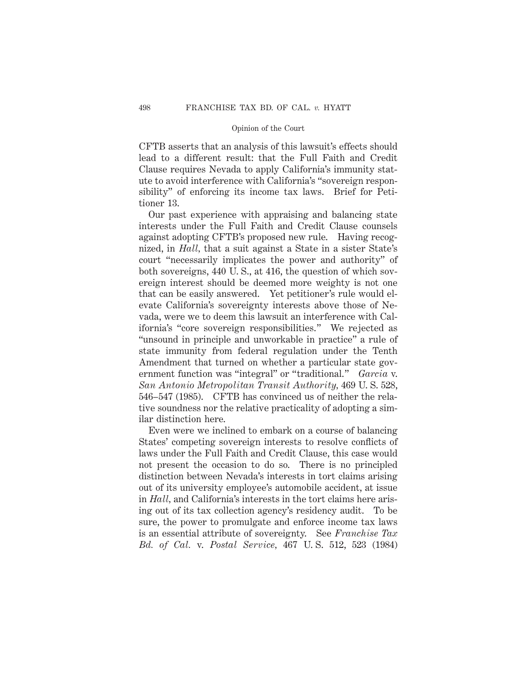CFTB asserts that an analysis of this lawsuit's effects should lead to a different result: that the Full Faith and Credit Clause requires Nevada to apply California's immunity statute to avoid interference with California's "sovereign responsibility" of enforcing its income tax laws. Brief for Petitioner 13.

Our past experience with appraising and balancing state interests under the Full Faith and Credit Clause counsels against adopting CFTB's proposed new rule. Having recognized, in *Hall,* that a suit against a State in a sister State's court "necessarily implicates the power and authority" of both sovereigns, 440 U. S., at 416, the question of which sovereign interest should be deemed more weighty is not one that can be easily answered. Yet petitioner's rule would elevate California's sovereignty interests above those of Nevada, were we to deem this lawsuit an interference with California's "core sovereign responsibilities." We rejected as "unsound in principle and unworkable in practice" a rule of state immunity from federal regulation under the Tenth Amendment that turned on whether a particular state government function was "integral" or "traditional." *Garcia* v. *San Antonio Metropolitan Transit Authority,* 469 U. S. 528, 546–547 (1985). CFTB has convinced us of neither the relative soundness nor the relative practicality of adopting a similar distinction here.

Even were we inclined to embark on a course of balancing States' competing sovereign interests to resolve conflicts of laws under the Full Faith and Credit Clause, this case would not present the occasion to do so. There is no principled distinction between Nevada's interests in tort claims arising out of its university employee's automobile accident, at issue in *Hall,* and California's interests in the tort claims here arising out of its tax collection agency's residency audit. To be sure, the power to promulgate and enforce income tax laws is an essential attribute of sovereignty. See *Franchise Tax Bd. of Cal.* v. *Postal Service,* 467 U. S. 512, 523 (1984)